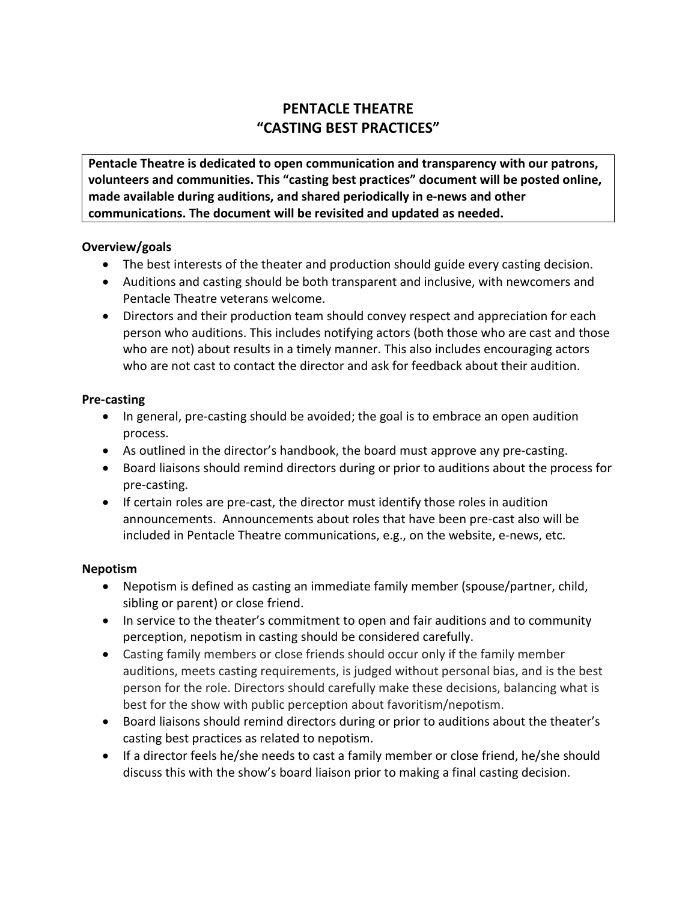# **PENTACLE THEATRE "CASTING BEST PRACTICES"**

**Pentacle Theatre is dedicated to open communication and transparency with our patrons, volunteers and communities. This "casting best practices" document will be posted online, made available during auditions, and shared periodically in e-news and other communications. The document will be revisited and updated as needed.**

# **Overview/goals**

- The best interests of the theater and production should guide every casting decision.
- Auditions and casting should be both transparent and inclusive, with newcomers and Pentacle Theatre veterans welcome.
- Directors and their production team should convey respect and appreciation for each person who auditions. This includes notifying actors (both those who are cast and those who are not) about results in a timely manner. This also includes encouraging actors who are not cast to contact the director and ask for feedback about their audition.

## **Pre-casting**

- In general, pre-casting should be avoided; the goal is to embrace an open audition process.
- As outlined in the director's handbook, the board must approve any pre-casting.
- Board liaisons should remind directors during or prior to auditions about the process for pre-casting.
- If certain roles are pre-cast, the director must identify those roles in audition announcements. Announcements about roles that have been pre-cast also will be included in Pentacle Theatre communications, e.g., on the website, e-news, etc.

## **Nepotism**

- Nepotism is defined as casting an immediate family member (spouse/partner, child, sibling or parent) or close friend.
- In service to the theater's commitment to open and fair auditions and to community perception, nepotism in casting should be considered carefully.
- Casting family members or close friends should occur only if the family member auditions, meets casting requirements, is judged without personal bias, and is the best person for the role. Directors should carefully make these decisions, balancing what is best for the show with public perception about favoritism/nepotism.
- Board liaisons should remind directors during or prior to auditions about the theater's casting best practices as related to nepotism.
- If a director feels he/she needs to cast a family member or close friend, he/she should discuss this with the show's board liaison prior to making a final casting decision.